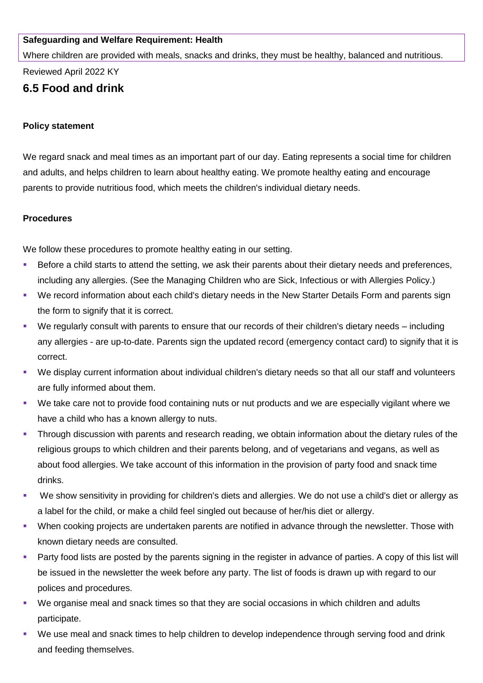#### **Safeguarding and Welfare Requirement: Health**

Where children are provided with meals, snacks and drinks, they must be healthy, balanced and nutritious.

Reviewed April 2022 KY

# **6.5 Food and drink**

#### **Policy statement**

We regard snack and meal times as an important part of our day. Eating represents a social time for children and adults, and helps children to learn about healthy eating. We promote healthy eating and encourage parents to provide nutritious food, which meets the children's individual dietary needs.

#### **Procedures**

We follow these procedures to promote healthy eating in our setting.

- Before a child starts to attend the setting, we ask their parents about their dietary needs and preferences, including any allergies. (See the Managing Children who are Sick, Infectious or with Allergies Policy.)
- We record information about each child's dietary needs in the New Starter Details Form and parents sign the form to signify that it is correct.
- We regularly consult with parents to ensure that our records of their children's dietary needs including any allergies - are up-to-date. Parents sign the updated record (emergency contact card) to signify that it is correct.
- We display current information about individual children's dietary needs so that all our staff and volunteers are fully informed about them.
- We take care not to provide food containing nuts or nut products and we are especially vigilant where we have a child who has a known allergy to nuts.
- **•** Through discussion with parents and research reading, we obtain information about the dietary rules of the religious groups to which children and their parents belong, and of vegetarians and vegans, as well as about food allergies. We take account of this information in the provision of party food and snack time drinks.
- We show sensitivity in providing for children's diets and allergies. We do not use a child's diet or allergy as a label for the child, or make a child feel singled out because of her/his diet or allergy.
- When cooking projects are undertaken parents are notified in advance through the newsletter. Those with known dietary needs are consulted.
- Party food lists are posted by the parents signing in the register in advance of parties. A copy of this list will be issued in the newsletter the week before any party. The list of foods is drawn up with regard to our polices and procedures.
- We organise meal and snack times so that they are social occasions in which children and adults participate.
- We use meal and snack times to help children to develop independence through serving food and drink and feeding themselves.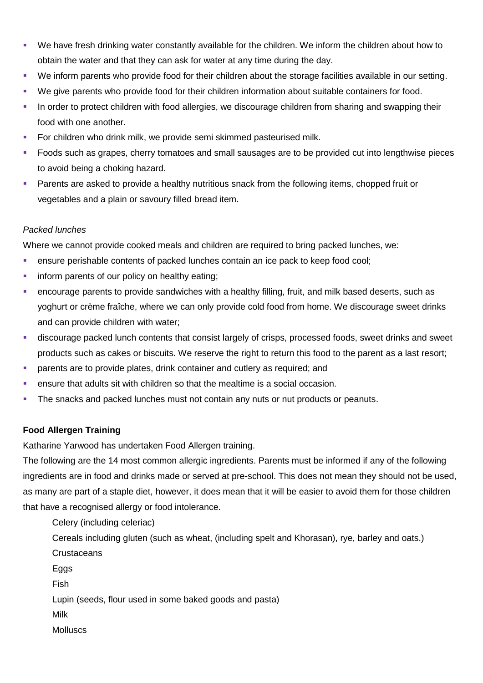- We have fresh drinking water constantly available for the children. We inform the children about how to obtain the water and that they can ask for water at any time during the day.
- We inform parents who provide food for their children about the storage facilities available in our setting.
- We give parents who provide food for their children information about suitable containers for food.
- In order to protect children with food allergies, we discourage children from sharing and swapping their food with one another.
- For children who drink milk, we provide semi skimmed pasteurised milk.
- Foods such as grapes, cherry tomatoes and small sausages are to be provided cut into lengthwise pieces to avoid being a choking hazard.
- **•** Parents are asked to provide a healthy nutritious snack from the following items, chopped fruit or vegetables and a plain or savoury filled bread item.

## *Packed lunches*

Where we cannot provide cooked meals and children are required to bring packed lunches, we:

- **EXECT** ensure perishable contents of packed lunches contain an ice pack to keep food cool;
- inform parents of our policy on healthy eating;
- encourage parents to provide sandwiches with a healthy filling, fruit, and milk based deserts, such as yoghurt or crème fraîche, where we can only provide cold food from home. We discourage sweet drinks and can provide children with water;
- discourage packed lunch contents that consist largely of crisps, processed foods, sweet drinks and sweet products such as cakes or biscuits. We reserve the right to return this food to the parent as a last resort;
- parents are to provide plates, drink container and cutlery as required; and
- ensure that adults sit with children so that the mealtime is a social occasion.
- The snacks and packed lunches must not contain any nuts or nut products or peanuts.

## **Food Allergen Training**

Katharine Yarwood has undertaken Food Allergen training.

The following are the 14 most common allergic ingredients. Parents must be informed if any of the following ingredients are in food and drinks made or served at pre-school. This does not mean they should not be used, as many are part of a staple diet, however, it does mean that it will be easier to avoid them for those children that have a recognised allergy or food intolerance.

Celery (including celeriac) Cereals including gluten (such as wheat, (including spelt and Khorasan), rye, barley and oats.) **Crustaceans** Eggs Fish Lupin (seeds, flour used in some baked goods and pasta) Milk **Molluscs**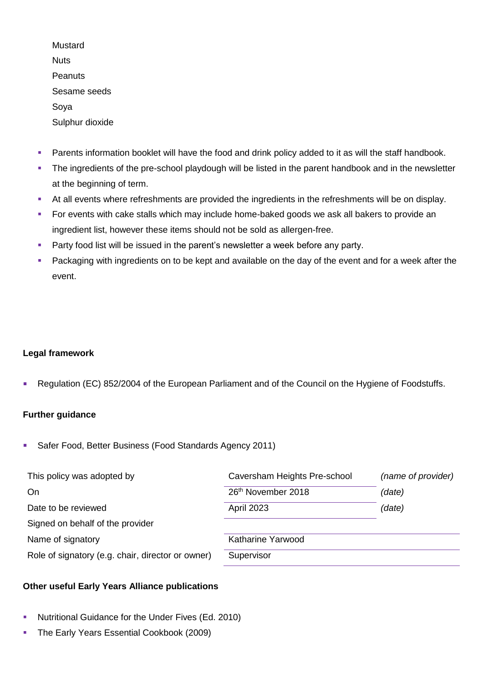Mustard **Nuts Peanuts** Sesame seeds Soya Sulphur dioxide

- **•** Parents information booklet will have the food and drink policy added to it as will the staff handbook.
- The ingredients of the pre-school playdough will be listed in the parent handbook and in the newsletter at the beginning of term.
- At all events where refreshments are provided the ingredients in the refreshments will be on display.
- For events with cake stalls which may include home-baked goods we ask all bakers to provide an ingredient list, however these items should not be sold as allergen-free.
- Party food list will be issued in the parent's newsletter a week before any party.
- Packaging with ingredients on to be kept and available on the day of the event and for a week after the event.

# **Legal framework**

■ Regulation (EC) 852/2004 of the European Parliament and of the Council on the Hygiene of Foodstuffs.

## **Further guidance**

■ Safer Food, Better Business (Food Standards Agency 2011)

| This policy was adopted by                        | Caversham Heights Pre-school | (name of provider) |
|---------------------------------------------------|------------------------------|--------------------|
| On                                                | 26th November 2018           | (date)             |
| Date to be reviewed                               | <b>April 2023</b>            | (date)             |
| Signed on behalf of the provider                  |                              |                    |
| Name of signatory                                 | Katharine Yarwood            |                    |
| Role of signatory (e.g. chair, director or owner) | Supervisor                   |                    |

# **Other useful Early Years Alliance publications**

- Nutritional Guidance for the Under Fives (Ed. 2010)
- **The Early Years Essential Cookbook (2009)**